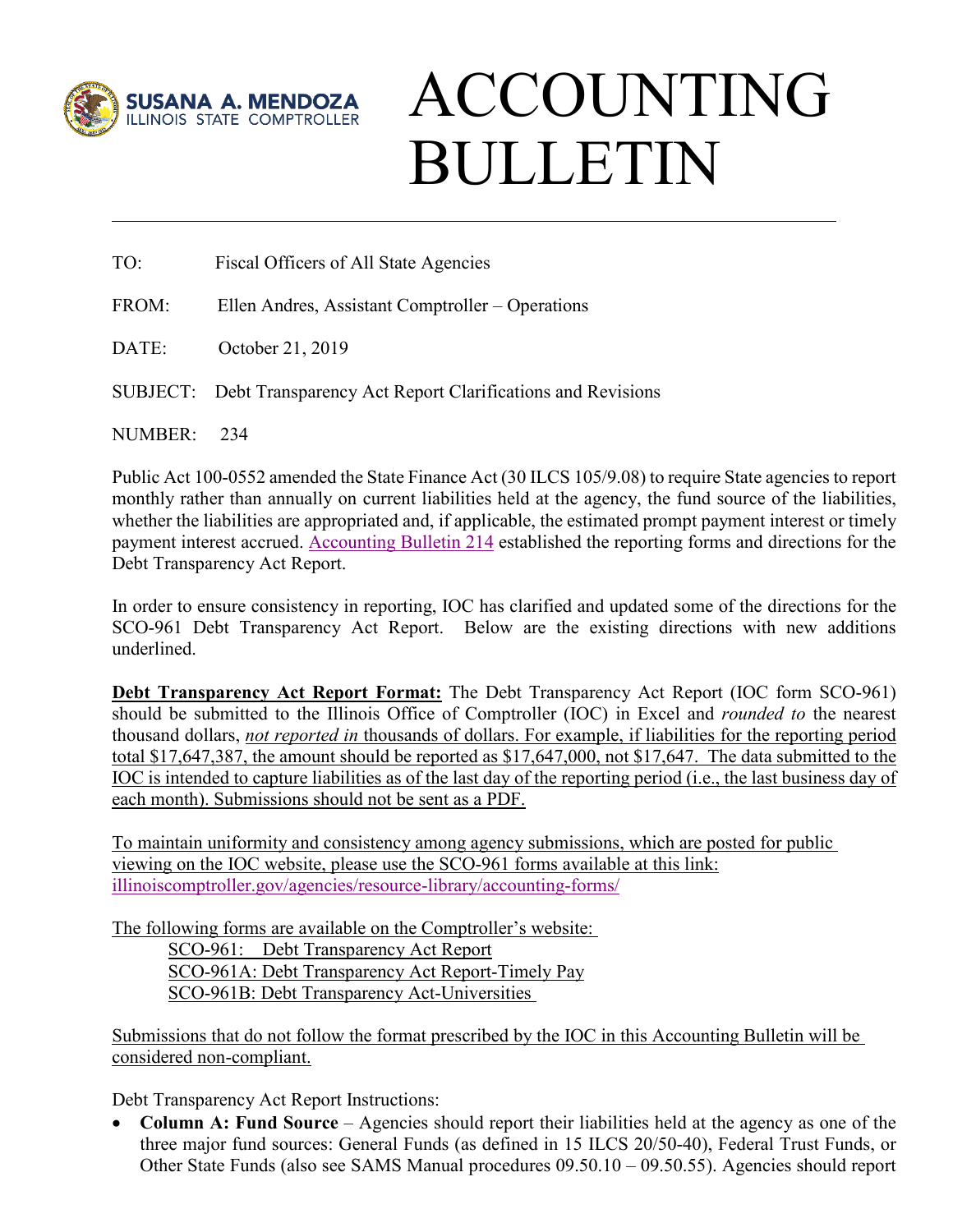

## ACCOUNTING BULLETIN

- TO: Fiscal Officers of All State Agencies
- FROM: Ellen Andres, Assistant Comptroller Operations
- DATE: October 21, 2019
- SUBJECT: Debt Transparency Act Report Clarifications and Revisions

NUMBER: 234

Public Act 100-0552 amended the State Finance Act (30 ILCS 105/9.08) to require State agencies to report monthly rather than annually on current liabilities held at the agency, the fund source of the liabilities, whether the liabilities are appropriated and, if applicable, the estimated prompt payment interest or timely payment interest accrued. [Accounting Bulletin 214](https://illinoiscomptroller.gov/agencies/resource-library/accounting-bulletins/debt-transparency-act-implementation/214-pdf/) established the reporting forms and directions for the Debt Transparency Act Report.

In order to ensure consistency in reporting, IOC has clarified and updated some of the directions for the SCO-961 Debt Transparency Act Report. Below are the existing directions with new additions underlined.

**Debt Transparency Act Report Format:** The Debt Transparency Act Report (IOC form SCO-961) should be submitted to the Illinois Office of Comptroller (IOC) in Excel and *rounded to* the nearest thousand dollars, *not reported in* thousands of dollars. For example, if liabilities for the reporting period total \$17,647,387, the amount should be reported as \$17,647,000, not \$17,647. The data submitted to the IOC is intended to capture liabilities as of the last day of the reporting period (i.e., the last business day of each month). Submissions should not be sent as a PDF.

To maintain uniformity and consistency among agency submissions, which are posted for public viewing on the IOC website, please use the SCO-961 forms available at this link: [illinoiscomptroller.gov/agencies/resource-library/accounting-forms/](https://illinoiscomptroller.gov/agencies/resource-library/accounting-forms/)

The following forms are available on the Comptroller's website:

SCO-961: Debt Transparency Act Report

SCO-961A: Debt Transparency Act Report-Timely Pay

SCO-961B: Debt Transparency Act-Universities

Submissions that do not follow the format prescribed by the IOC in this Accounting Bulletin will be considered non-compliant.

Debt Transparency Act Report Instructions:

• **Column A: Fund Source** – Agencies should report their liabilities held at the agency as one of the three major fund sources: General Funds (as defined in 15 ILCS 20/50-40), Federal Trust Funds, or Other State Funds (also see SAMS Manual procedures 09.50.10 – 09.50.55). Agencies should report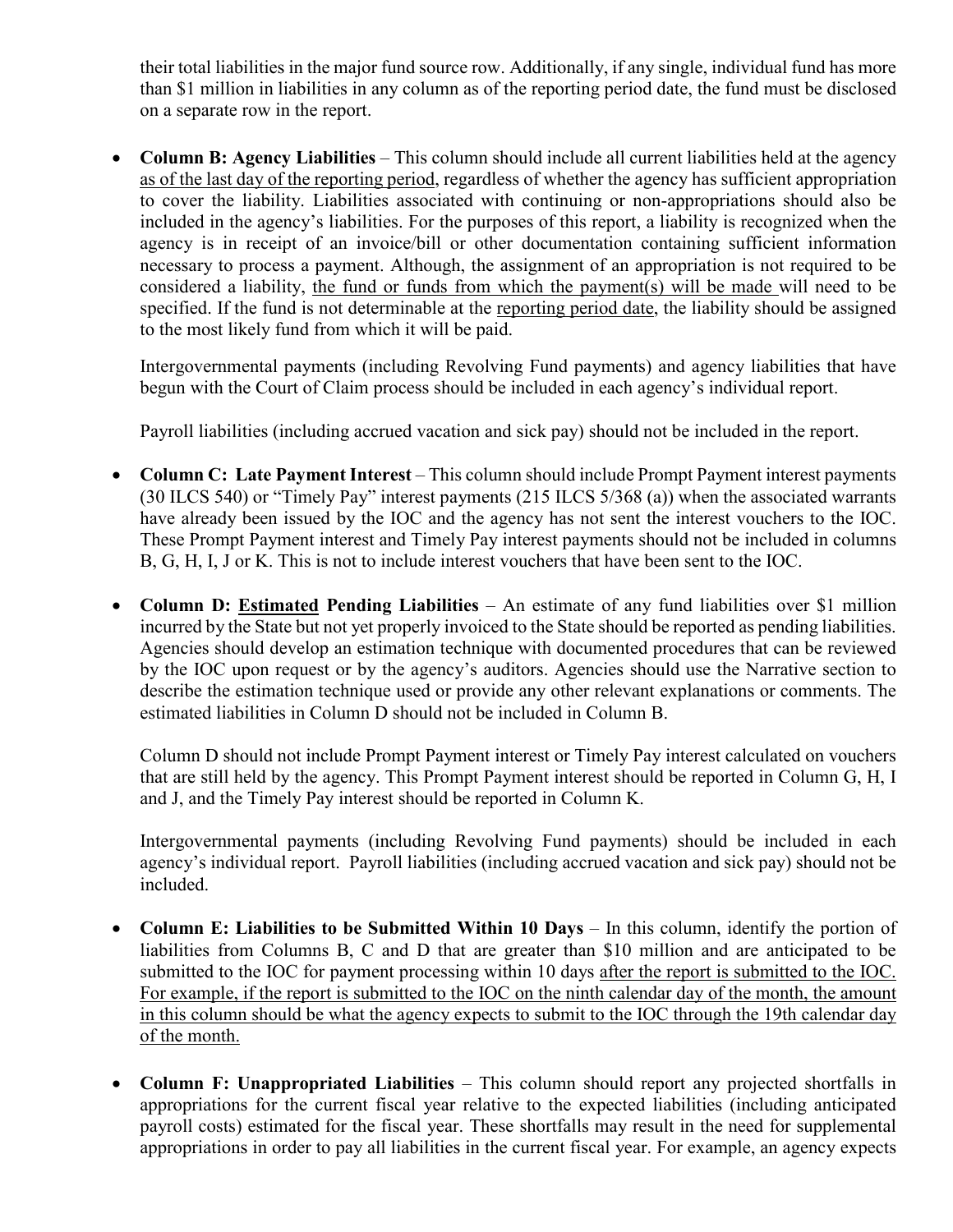their total liabilities in the major fund source row. Additionally, if any single, individual fund has more than \$1 million in liabilities in any column as of the reporting period date, the fund must be disclosed on a separate row in the report.

• **Column B: Agency Liabilities** – This column should include all current liabilities held at the agency as of the last day of the reporting period, regardless of whether the agency has sufficient appropriation to cover the liability. Liabilities associated with continuing or non-appropriations should also be included in the agency's liabilities. For the purposes of this report, a liability is recognized when the agency is in receipt of an invoice/bill or other documentation containing sufficient information necessary to process a payment. Although, the assignment of an appropriation is not required to be considered a liability, the fund or funds from which the payment(s) will be made will need to be specified. If the fund is not determinable at the reporting period date, the liability should be assigned to the most likely fund from which it will be paid.

Intergovernmental payments (including Revolving Fund payments) and agency liabilities that have begun with the Court of Claim process should be included in each agency's individual report.

Payroll liabilities (including accrued vacation and sick pay) should not be included in the report.

- **Column C: Late Payment Interest** This column should include Prompt Payment interest payments (30 ILCS 540) or "Timely Pay" interest payments (215 ILCS 5/368 (a)) when the associated warrants have already been issued by the IOC and the agency has not sent the interest vouchers to the IOC. These Prompt Payment interest and Timely Pay interest payments should not be included in columns B, G, H, I, J or K. This is not to include interest vouchers that have been sent to the IOC.
- **Column D: Estimated Pending Liabilities**  An estimate of any fund liabilities over \$1 million incurred by the State but not yet properly invoiced to the State should be reported as pending liabilities. Agencies should develop an estimation technique with documented procedures that can be reviewed by the IOC upon request or by the agency's auditors. Agencies should use the Narrative section to describe the estimation technique used or provide any other relevant explanations or comments. The estimated liabilities in Column D should not be included in Column B.

Column D should not include Prompt Payment interest or Timely Pay interest calculated on vouchers that are still held by the agency. This Prompt Payment interest should be reported in Column G, H, I and J, and the Timely Pay interest should be reported in Column K.

Intergovernmental payments (including Revolving Fund payments) should be included in each agency's individual report. Payroll liabilities (including accrued vacation and sick pay) should not be included.

- **Column E: Liabilities to be Submitted Within 10 Days** In this column, identify the portion of liabilities from Columns B, C and D that are greater than \$10 million and are anticipated to be submitted to the IOC for payment processing within 10 days after the report is submitted to the IOC. For example, if the report is submitted to the IOC on the ninth calendar day of the month, the amount in this column should be what the agency expects to submit to the IOC through the 19th calendar day of the month.
- **Column F: Unappropriated Liabilities** This column should report any projected shortfalls in appropriations for the current fiscal year relative to the expected liabilities (including anticipated payroll costs) estimated for the fiscal year. These shortfalls may result in the need for supplemental appropriations in order to pay all liabilities in the current fiscal year. For example, an agency expects